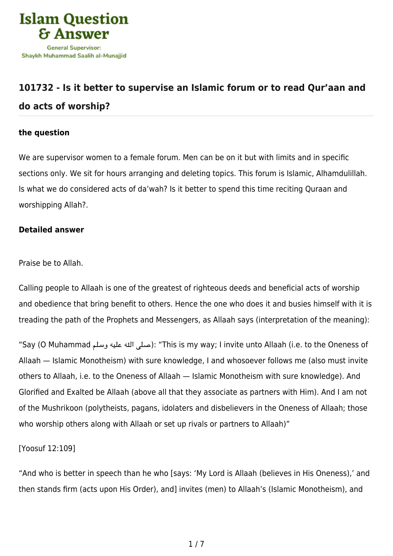

## **[101732 - Is it better to supervise an Islamic forum or to read Qur'aan and](https://islamqa.info/en/answers/101732/is-it-better-to-supervise-an-islamic-forum-or-to-read-quraan-and-do-acts-of-worship) [do acts of worship?](https://islamqa.info/en/answers/101732/is-it-better-to-supervise-an-islamic-forum-or-to-read-quraan-and-do-acts-of-worship)**

## **the question**

We are supervisor women to a female forum. Men can be on it but with limits and in specific sections only. We sit for hours arranging and deleting topics. This forum is Islamic, Alhamdulillah. Is what we do considered acts of da'wah? Is it better to spend this time reciting Quraan and worshipping Allah?.

## **Detailed answer**

Praise be to Allah.

Calling people to Allaah is one of the greatest of righteous deeds and beneficial acts of worship and obedience that bring benefit to others. Hence the one who does it and busies himself with it is treading the path of the Prophets and Messengers, as Allaah says (interpretation of the meaning):

"Say (O Muhammad صلى الله عليه وسلم): "This is my way; I invite unto Allaah (i.e. to the Oneness of Allaah — Islamic Monotheism) with sure knowledge, I and whosoever follows me (also must invite others to Allaah, i.e. to the Oneness of Allaah — Islamic Monotheism with sure knowledge). And Glorified and Exalted be Allaah (above all that they associate as partners with Him). And I am not of the Mushrikoon (polytheists, pagans, idolaters and disbelievers in the Oneness of Allaah; those who worship others along with Allaah or set up rivals or partners to Allaah)"

[Yoosuf 12:109]

"And who is better in speech than he who [says: 'My Lord is Allaah (believes in His Oneness),' and then stands firm (acts upon His Order), and] invites (men) to Allaah's (Islamic Monotheism), and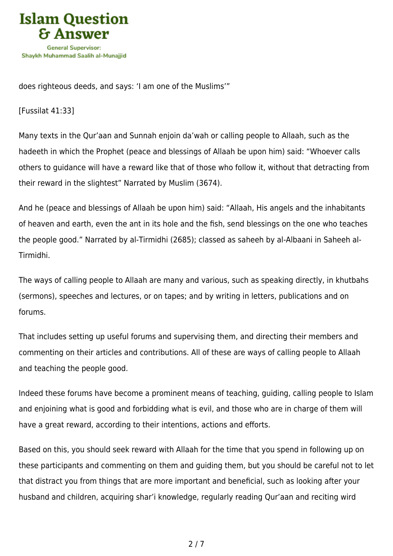

does righteous deeds, and says: 'I am one of the Muslims'"

[Fussilat 41:33]

Many texts in the Qur'aan and Sunnah enjoin da'wah or calling people to Allaah, such as the hadeeth in which the Prophet (peace and blessings of Allaah be upon him) said: "Whoever calls others to guidance will have a reward like that of those who follow it, without that detracting from their reward in the slightest" Narrated by Muslim (3674).

And he (peace and blessings of Allaah be upon him) said: "Allaah, His angels and the inhabitants of heaven and earth, even the ant in its hole and the fish, send blessings on the one who teaches the people good." Narrated by al-Tirmidhi (2685); classed as saheeh by al-Albaani in Saheeh al-Tirmidhi.

The ways of calling people to Allaah are many and various, such as speaking directly, in khutbahs (sermons), speeches and lectures, or on tapes; and by writing in letters, publications and on forums.

That includes setting up useful forums and supervising them, and directing their members and commenting on their articles and contributions. All of these are ways of calling people to Allaah and teaching the people good.

Indeed these forums have become a prominent means of teaching, guiding, calling people to Islam and enjoining what is good and forbidding what is evil, and those who are in charge of them will have a great reward, according to their intentions, actions and efforts.

Based on this, you should seek reward with Allaah for the time that you spend in following up on these participants and commenting on them and guiding them, but you should be careful not to let that distract you from things that are more important and beneficial, such as looking after your husband and children, acquiring shar'i knowledge, regularly reading Qur'aan and reciting wird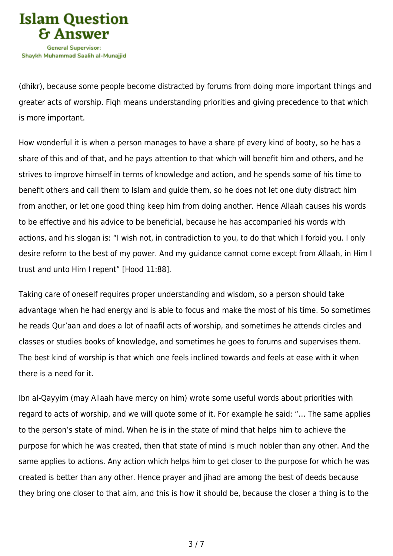

(dhikr), because some people become distracted by forums from doing more important things and greater acts of worship. Fiqh means understanding priorities and giving precedence to that which is more important.

How wonderful it is when a person manages to have a share pf every kind of booty, so he has a share of this and of that, and he pays attention to that which will benefit him and others, and he strives to improve himself in terms of knowledge and action, and he spends some of his time to benefit others and call them to Islam and guide them, so he does not let one duty distract him from another, or let one good thing keep him from doing another. Hence Allaah causes his words to be effective and his advice to be beneficial, because he has accompanied his words with actions, and his slogan is: "I wish not, in contradiction to you, to do that which I forbid you. I only desire reform to the best of my power. And my guidance cannot come except from Allaah, in Him I trust and unto Him I repent" [Hood 11:88].

Taking care of oneself requires proper understanding and wisdom, so a person should take advantage when he had energy and is able to focus and make the most of his time. So sometimes he reads Qur'aan and does a lot of naafil acts of worship, and sometimes he attends circles and classes or studies books of knowledge, and sometimes he goes to forums and supervises them. The best kind of worship is that which one feels inclined towards and feels at ease with it when there is a need for it.

Ibn al-Qayyim (may Allaah have mercy on him) wrote some useful words about priorities with regard to acts of worship, and we will quote some of it. For example he said: "… The same applies to the person's state of mind. When he is in the state of mind that helps him to achieve the purpose for which he was created, then that state of mind is much nobler than any other. And the same applies to actions. Any action which helps him to get closer to the purpose for which he was created is better than any other. Hence prayer and jihad are among the best of deeds because they bring one closer to that aim, and this is how it should be, because the closer a thing is to the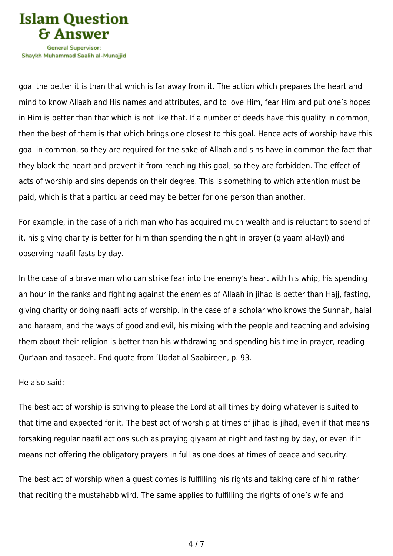

Shavkh Muhammad Saalih al-Munaiiid

goal the better it is than that which is far away from it. The action which prepares the heart and mind to know Allaah and His names and attributes, and to love Him, fear Him and put one's hopes in Him is better than that which is not like that. If a number of deeds have this quality in common, then the best of them is that which brings one closest to this goal. Hence acts of worship have this goal in common, so they are required for the sake of Allaah and sins have in common the fact that they block the heart and prevent it from reaching this goal, so they are forbidden. The effect of acts of worship and sins depends on their degree. This is something to which attention must be paid, which is that a particular deed may be better for one person than another.

For example, in the case of a rich man who has acquired much wealth and is reluctant to spend of it, his giving charity is better for him than spending the night in prayer (qiyaam al-layl) and observing naafil fasts by day.

In the case of a brave man who can strike fear into the enemy's heart with his whip, his spending an hour in the ranks and fighting against the enemies of Allaah in jihad is better than Hajj, fasting, giving charity or doing naafil acts of worship. In the case of a scholar who knows the Sunnah, halal and haraam, and the ways of good and evil, his mixing with the people and teaching and advising them about their religion is better than his withdrawing and spending his time in prayer, reading Qur'aan and tasbeeh. End quote from 'Uddat al-Saabireen, p. 93.

## He also said:

The best act of worship is striving to please the Lord at all times by doing whatever is suited to that time and expected for it. The best act of worship at times of jihad is jihad, even if that means forsaking regular naafil actions such as praying qiyaam at night and fasting by day, or even if it means not offering the obligatory prayers in full as one does at times of peace and security.

The best act of worship when a guest comes is fulfilling his rights and taking care of him rather that reciting the mustahabb wird. The same applies to fulfilling the rights of one's wife and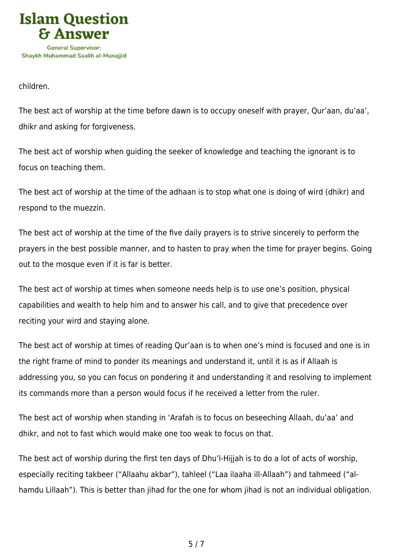

children.

The best act of worship at the time before dawn is to occupy oneself with prayer, Qur'aan, du'aa', dhikr and asking for forgiveness.

The best act of worship when guiding the seeker of knowledge and teaching the ignorant is to focus on teaching them.

The best act of worship at the time of the adhaan is to stop what one is doing of wird (dhikr) and respond to the muezzin.

The best act of worship at the time of the five daily prayers is to strive sincerely to perform the prayers in the best possible manner, and to hasten to pray when the time for prayer begins. Going out to the mosque even if it is far is better.

The best act of worship at times when someone needs help is to use one's position, physical capabilities and wealth to help him and to answer his call, and to give that precedence over reciting your wird and staying alone.

The best act of worship at times of reading Qur'aan is to when one's mind is focused and one is in the right frame of mind to ponder its meanings and understand it, until it is as if Allaah is addressing you, so you can focus on pondering it and understanding it and resolving to implement its commands more than a person would focus if he received a letter from the ruler.

The best act of worship when standing in 'Arafah is to focus on beseeching Allaah, du'aa' and dhikr, and not to fast which would make one too weak to focus on that.

The best act of worship during the first ten days of Dhu'l-Hijjah is to do a lot of acts of worship, especially reciting takbeer ("Allaahu akbar"), tahleel ("Laa ilaaha ill-Allaah") and tahmeed ("alhamdu Lillaah"). This is better than jihad for the one for whom jihad is not an individual obligation.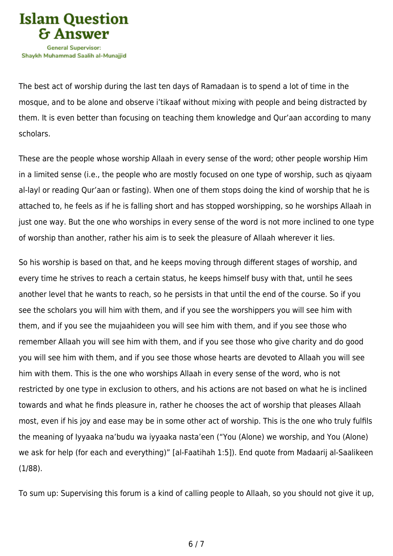

The best act of worship during the last ten days of Ramadaan is to spend a lot of time in the mosque, and to be alone and observe i'tikaaf without mixing with people and being distracted by them. It is even better than focusing on teaching them knowledge and Qur'aan according to many scholars.

These are the people whose worship Allaah in every sense of the word; other people worship Him in a limited sense (i.e., the people who are mostly focused on one type of worship, such as qiyaam al-layl or reading Qur'aan or fasting). When one of them stops doing the kind of worship that he is attached to, he feels as if he is falling short and has stopped worshipping, so he worships Allaah in just one way. But the one who worships in every sense of the word is not more inclined to one type of worship than another, rather his aim is to seek the pleasure of Allaah wherever it lies.

So his worship is based on that, and he keeps moving through different stages of worship, and every time he strives to reach a certain status, he keeps himself busy with that, until he sees another level that he wants to reach, so he persists in that until the end of the course. So if you see the scholars you will him with them, and if you see the worshippers you will see him with them, and if you see the mujaahideen you will see him with them, and if you see those who remember Allaah you will see him with them, and if you see those who give charity and do good you will see him with them, and if you see those whose hearts are devoted to Allaah you will see him with them. This is the one who worships Allaah in every sense of the word, who is not restricted by one type in exclusion to others, and his actions are not based on what he is inclined towards and what he finds pleasure in, rather he chooses the act of worship that pleases Allaah most, even if his joy and ease may be in some other act of worship. This is the one who truly fulfils the meaning of Iyyaaka na'budu wa iyyaaka nasta'een ("You (Alone) we worship, and You (Alone) we ask for help (for each and everything)" [al-Faatihah 1:5]). End quote from Madaarij al-Saalikeen (1/88).

To sum up: Supervising this forum is a kind of calling people to Allaah, so you should not give it up,

6 / 7